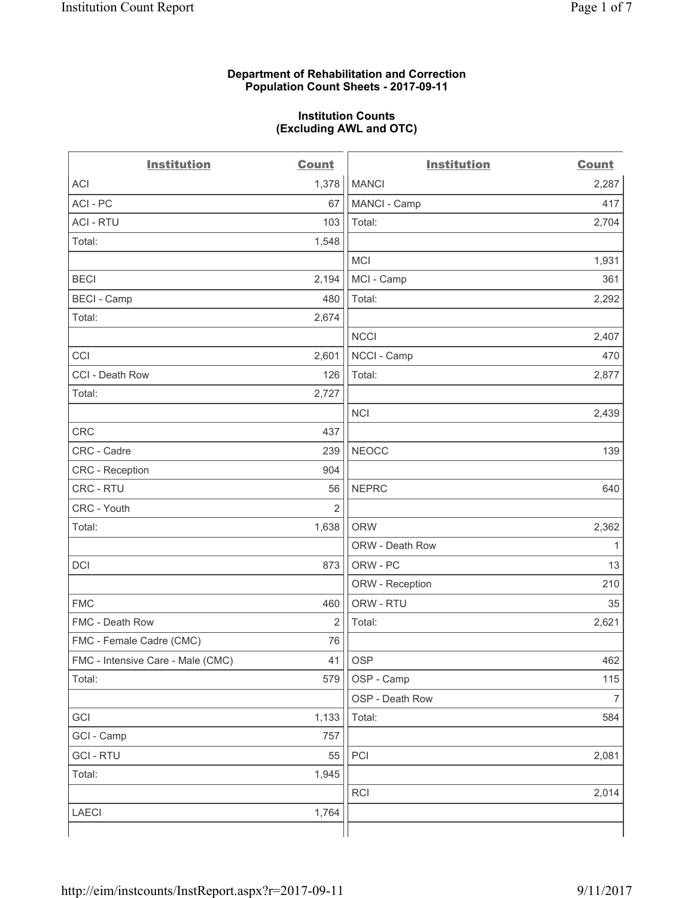#### **Department of Rehabilitation and Correction Population Count Sheets - 2017-09-11**

#### **Institution Counts (Excluding AWL and OTC)**

 $-$ 

| <b>Institution</b>                | <b>Count</b>   | <b>Institution</b> | <b>Count</b>   |
|-----------------------------------|----------------|--------------------|----------------|
| ACI                               | 1,378          | <b>MANCI</b>       | 2,287          |
| ACI-PC                            | 67             | MANCI - Camp       | 417            |
| <b>ACI - RTU</b>                  | 103            | Total:             | 2,704          |
| Total:                            | 1,548          |                    |                |
|                                   |                | MCI                | 1,931          |
| <b>BECI</b>                       | 2,194          | MCI - Camp         | 361            |
| <b>BECI</b> - Camp                | 480            | Total:             | 2,292          |
| Total:                            | 2,674          |                    |                |
|                                   |                | <b>NCCI</b>        | 2,407          |
| CCI                               | 2,601          | NCCI - Camp        | 470            |
| CCI - Death Row                   | 126            | Total:             | 2,877          |
| Total:                            | 2,727          |                    |                |
|                                   |                | <b>NCI</b>         | 2,439          |
| <b>CRC</b>                        | 437            |                    |                |
| CRC - Cadre                       | 239            | <b>NEOCC</b>       | 139            |
| CRC - Reception                   | 904            |                    |                |
| CRC - RTU                         | 56             | <b>NEPRC</b>       | 640            |
| CRC - Youth                       | $\overline{2}$ |                    |                |
| Total:                            | 1,638          | <b>ORW</b>         | 2,362          |
|                                   |                | ORW - Death Row    | 1              |
| DCI                               | 873            | ORW - PC           | 13             |
|                                   |                | ORW - Reception    | 210            |
| <b>FMC</b>                        | 460            | ORW - RTU          | 35             |
| FMC - Death Row                   | 2              | Total:             | 2,621          |
| FMC - Female Cadre (CMC)          | 76             |                    |                |
| FMC - Intensive Care - Male (CMC) | 41             | <b>OSP</b>         | 462            |
| Total:                            | 579            | OSP - Camp         | 115            |
|                                   |                | OSP - Death Row    | $\overline{7}$ |
| GCI                               | 1,133          | Total:             | 584            |
| GCI - Camp                        | 757            |                    |                |
| <b>GCI-RTU</b>                    | 55             | PCI                | 2,081          |
| Total:                            | 1,945          |                    |                |
|                                   |                | <b>RCI</b>         | 2,014          |
| LAECI                             | 1,764          |                    |                |
|                                   |                |                    |                |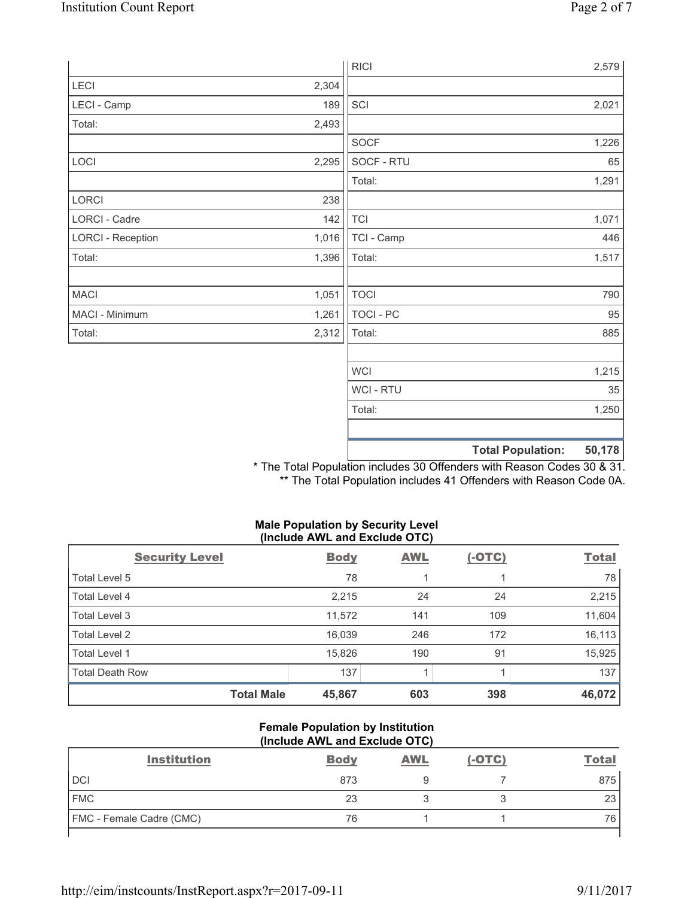|                          |       | <b>RICI</b>    | 2,579                              |
|--------------------------|-------|----------------|------------------------------------|
| LECI                     | 2,304 |                |                                    |
| LECI - Camp              | 189   | SCI            | 2,021                              |
| Total:                   | 2,493 |                |                                    |
|                          |       | SOCF           | 1,226                              |
| LOCI                     | 2,295 | SOCF - RTU     | 65                                 |
|                          |       | Total:         | 1,291                              |
| LORCI                    | 238   |                |                                    |
| LORCI - Cadre            | 142   | <b>TCI</b>     | 1,071                              |
| <b>LORCI - Reception</b> | 1,016 | TCI - Camp     | 446                                |
| Total:                   | 1,396 | Total:         | 1,517                              |
|                          |       |                |                                    |
| <b>MACI</b>              | 1,051 | <b>TOCI</b>    | 790                                |
| MACI - Minimum           | 1,261 | TOCI - PC      | 95                                 |
| Total:                   | 2,312 | Total:         | 885                                |
|                          |       |                |                                    |
|                          |       | <b>WCI</b>     | 1,215                              |
|                          |       | <b>WCI-RTU</b> | 35                                 |
|                          |       | Total:         | 1,250                              |
|                          |       |                |                                    |
|                          |       |                | <b>Total Population:</b><br>50,178 |

\* The Total Population includes 30 Offenders with Reason Codes 30 & 31. \*\* The Total Population includes 41 Offenders with Reason Code 0A.

#### **Male Population by Security Level (Include AWL and Exclude OTC)**

| <b>Security Level</b>  | <b>Body</b> | <b>AWL</b> | $(-OTC)$ | <b>Total</b> |
|------------------------|-------------|------------|----------|--------------|
| Total Level 5          | 78          |            |          | 78           |
| Total Level 4          | 2,215       | 24         | 24       | 2,215        |
| Total Level 3          | 11,572      | 141        | 109      | 11,604       |
| Total Level 2          | 16,039      | 246        | 172      | 16,113       |
| Total Level 1          | 15,826      | 190        | 91       | 15,925       |
| <b>Total Death Row</b> | 137         |            |          | 137          |
| <b>Total Male</b>      | 45,867      | 603        | 398      | 46,072       |

#### **Female Population by Institution (Include AWL and Exclude OTC)**

| <b>Institution</b>              | <b>Body</b> | <b>AWL</b> | $(-OTC)$ | <b>Total</b> |
|---------------------------------|-------------|------------|----------|--------------|
| <b>DCI</b>                      | 873         |            |          | 875          |
| <b>FMC</b>                      | 23          |            |          | 23           |
| <b>FMC</b> - Female Cadre (CMC) | 76          |            |          | 76           |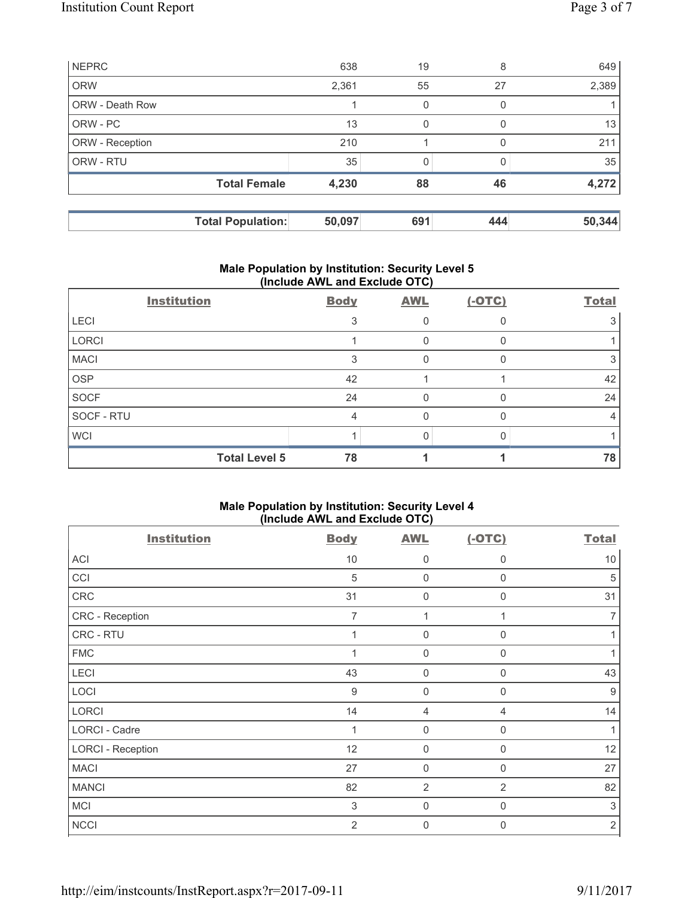| <b>NEPRC</b>           |                          | 638    | 19  | 8        | 649    |
|------------------------|--------------------------|--------|-----|----------|--------|
| <b>ORW</b>             |                          | 2,361  | 55  | 27       | 2,389  |
| <b>ORW - Death Row</b> |                          |        | 0   |          |        |
| ORW - PC               |                          | 13     | 0   | $\Omega$ | 13     |
| ORW - Reception        |                          | 210    |     |          | 211    |
| ORW - RTU              |                          | 35     |     |          | 35     |
|                        | <b>Total Female</b>      | 4,230  | 88  | 46       | 4,272  |
|                        |                          |        |     |          |        |
|                        | <b>Total Population:</b> | 50,097 | 691 | 444      | 50,344 |

## **Male Population by Institution: Security Level 5 (Include AWL and Exclude OTC)**

|              | <b>Institution</b>   | <b>Body</b> | <b>AWL</b> | $(-OTC)$ | <b>Total</b> |
|--------------|----------------------|-------------|------------|----------|--------------|
| <b>LECI</b>  |                      | 3           |            |          |              |
| <b>LORCI</b> |                      |             | 0          |          |              |
| <b>MACI</b>  |                      | 3           | 0          |          |              |
| <b>OSP</b>   |                      | 42          |            |          | 42           |
| <b>SOCF</b>  |                      | 24          | 0          |          | 24           |
| SOCF - RTU   |                      | 4           | 0          |          |              |
| <b>WCI</b>   |                      |             |            |          |              |
|              | <b>Total Level 5</b> | 78          |            |          | 78           |

# **Male Population by Institution: Security Level 4 (Include AWL and Exclude OTC)**

| <b>Institution</b>       | <b>Body</b>    | <b>AWL</b>     | $(-OTC)$       | <b>Total</b>     |
|--------------------------|----------------|----------------|----------------|------------------|
| <b>ACI</b>               | 10             | 0              | $\mathbf 0$    | 10               |
| CCI                      | 5              | $\mathbf 0$    | $\mathbf 0$    | 5                |
| CRC                      | 31             | $\mathbf 0$    | $\mathbf 0$    | 31               |
| CRC - Reception          | $\overline{7}$ | 1              | 1              | 7                |
| CRC - RTU                | $\mathbf 1$    | $\mathbf 0$    | 0              | 1                |
| <b>FMC</b>               | $\overline{1}$ | $\mathsf{0}$   | $\mathbf 0$    | 1                |
| LECI                     | 43             | $\mathbf 0$    | $\mathbf 0$    | 43               |
| LOCI                     | 9              | $\mathbf 0$    | $\mathbf 0$    | $\boldsymbol{9}$ |
| <b>LORCI</b>             | 14             | $\overline{4}$ | 4              | 14               |
| <b>LORCI - Cadre</b>     | 1              | $\mathbf 0$    | $\mathbf 0$    | 1                |
| <b>LORCI - Reception</b> | 12             | $\mathbf 0$    | $\mathbf 0$    | 12               |
| <b>MACI</b>              | 27             | $\pmb{0}$      | $\mathbf 0$    | 27               |
| <b>MANCI</b>             | 82             | $\overline{2}$ | $\overline{2}$ | 82               |
| <b>MCI</b>               | 3              | $\mathbf 0$    | $\mathbf 0$    | $\sqrt{3}$       |
| <b>NCCI</b>              | $\overline{2}$ | $\mathbf 0$    | $\mathbf{0}$   | $\sqrt{2}$       |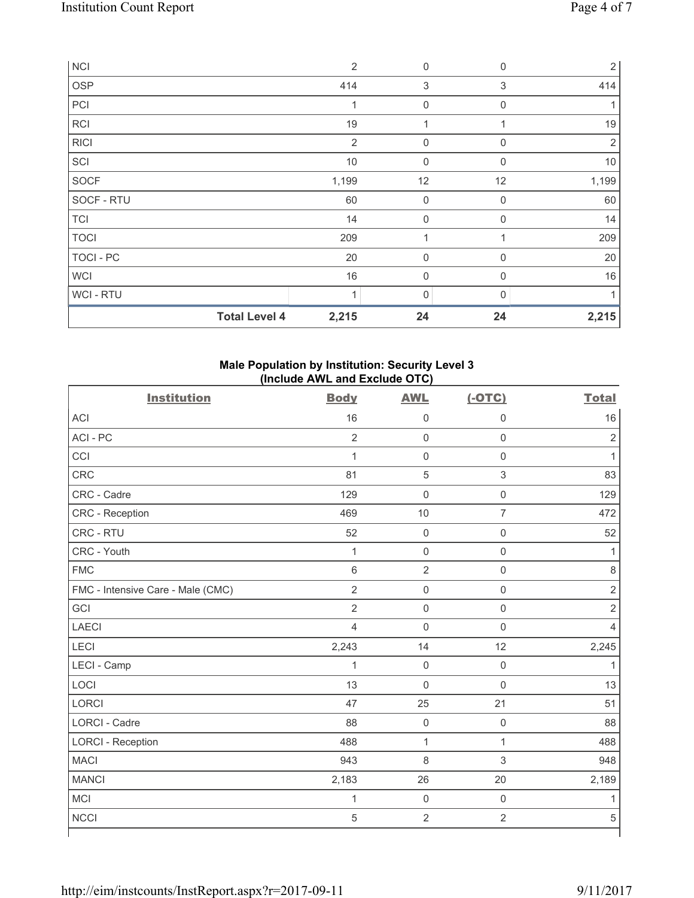| <b>NCI</b>       |                      | $\overline{2}$ | 0           | $\mathbf 0$ | 2              |
|------------------|----------------------|----------------|-------------|-------------|----------------|
| OSP              |                      | 414            | $\sqrt{3}$  | 3           | 414            |
| PCI              |                      | 1              | $\mathbf 0$ | $\mathbf 0$ |                |
| RCI              |                      | 19             | 1           |             | 19             |
| <b>RICI</b>      |                      | 2              | $\mathbf 0$ | $\Omega$    | $\overline{2}$ |
| SCI              |                      | $10$           | $\mathbf 0$ | $\mathbf 0$ | 10             |
| SOCF             |                      | 1,199          | 12          | 12          | 1,199          |
| SOCF - RTU       |                      | 60             | $\mathbf 0$ | $\mathbf 0$ | 60             |
| <b>TCI</b>       |                      | 14             | 0           | 0           | 14             |
| <b>TOCI</b>      |                      | 209            | 1           |             | 209            |
| <b>TOCI - PC</b> |                      | 20             | $\mathbf 0$ | $\mathbf 0$ | 20             |
| <b>WCI</b>       |                      | 16             | 0           | $\mathbf 0$ | 16             |
| WCI - RTU        |                      | $\overline{A}$ | 0           | U           |                |
|                  | <b>Total Level 4</b> | 2,215          | 24          | 24          | 2,215          |

# **Male Population by Institution: Security Level 3 (Include AWL and Exclude OTC)**

| <b>Institution</b>                | <b>Body</b>    | <b>AWL</b>          | $(-OTC)$            | <b>Total</b>   |
|-----------------------------------|----------------|---------------------|---------------------|----------------|
| <b>ACI</b>                        | 16             | $\mathsf{O}\xspace$ | $\mathbf 0$         | 16             |
| ACI-PC                            | $\overline{2}$ | $\mathbf 0$         | $\mathsf 0$         | $\overline{2}$ |
| CCI                               | $\mathbf{1}$   | $\mathsf{O}\xspace$ | $\mathsf{O}\xspace$ | 1              |
| <b>CRC</b>                        | 81             | $\sqrt{5}$          | $\sqrt{3}$          | 83             |
| CRC - Cadre                       | 129            | $\mathsf{O}\xspace$ | $\mathsf 0$         | 129            |
| CRC - Reception                   | 469            | 10                  | $\overline{7}$      | 472            |
| CRC - RTU                         | 52             | $\mathsf 0$         | $\mathsf 0$         | 52             |
| CRC - Youth                       | $\mathbf{1}$   | $\mathsf{O}\xspace$ | $\mathsf{O}\xspace$ | 1              |
| <b>FMC</b>                        | 6              | $\overline{2}$      | $\mathsf{O}\xspace$ | 8              |
| FMC - Intensive Care - Male (CMC) | $\overline{2}$ | $\mathsf{O}\xspace$ | $\mathsf 0$         | $\mathbf 2$    |
| GCI                               | $\overline{2}$ | $\mathsf{O}\xspace$ | $\mathsf 0$         | $\sqrt{2}$     |
| <b>LAECI</b>                      | $\overline{4}$ | $\mathbf 0$         | $\mathbf 0$         | $\overline{4}$ |
| LECI                              | 2,243          | 14                  | 12                  | 2,245          |
| LECI - Camp                       | $\mathbf{1}$   | $\mathsf{O}\xspace$ | $\mathbf 0$         | 1              |
| LOCI                              | 13             | $\mathbf 0$         | $\mathbf 0$         | 13             |
| LORCI                             | 47             | 25                  | 21                  | 51             |
| <b>LORCI - Cadre</b>              | 88             | $\mathbf 0$         | $\mathsf{O}\xspace$ | 88             |
| <b>LORCI - Reception</b>          | 488            | $\mathbf 1$         | 1                   | 488            |
| <b>MACI</b>                       | 943            | 8                   | 3                   | 948            |
| <b>MANCI</b>                      | 2,183          | 26                  | 20                  | 2,189          |
| <b>MCI</b>                        | $\mathbf{1}$   | $\mathbf 0$         | $\mathsf{O}\xspace$ | 1              |
| <b>NCCI</b>                       | $\overline{5}$ | $\overline{2}$      | $\overline{2}$      | $\sqrt{5}$     |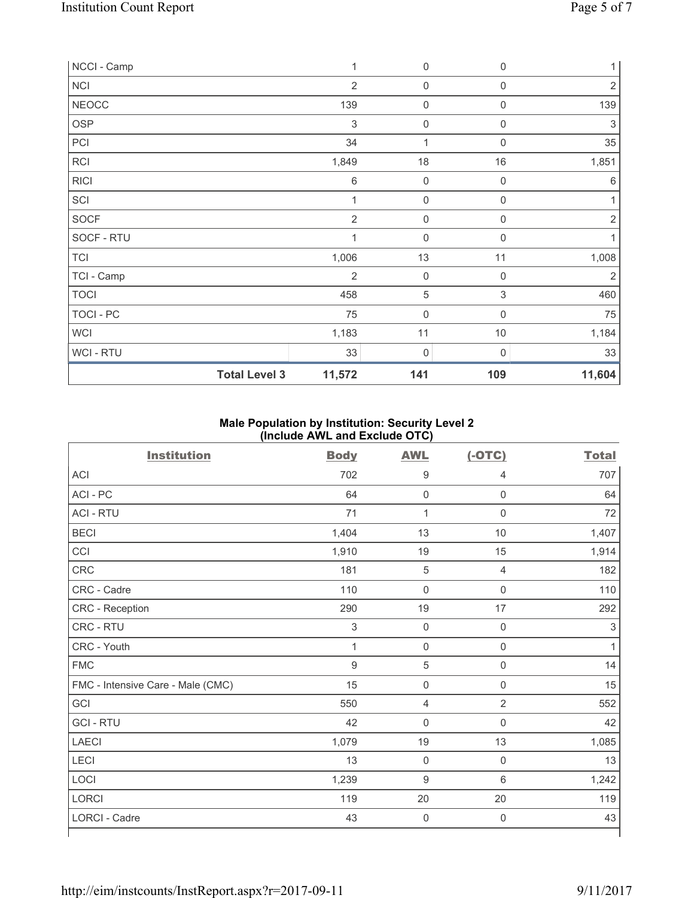| NCCI - Camp          | $\mathbf{1}$   | $\mathsf{0}$        | $\mathbf 0$      | $\mathbf{1}$   |
|----------------------|----------------|---------------------|------------------|----------------|
| <b>NCI</b>           | $\overline{2}$ | $\mathsf{O}\xspace$ | $\mathbf 0$      | $\overline{2}$ |
| <b>NEOCC</b>         | 139            | $\mathsf{O}\xspace$ | $\boldsymbol{0}$ | 139            |
| <b>OSP</b>           | 3              | $\mathsf{O}\xspace$ | $\mathbf 0$      | 3              |
| PCI                  | 34             | $\mathbf{1}$        | $\Omega$         | 35             |
| <b>RCI</b>           | 1,849          | 18                  | 16               | 1,851          |
| <b>RICI</b>          | 6              | $\mathsf{O}\xspace$ | $\overline{0}$   | 6              |
| SCI                  | $\mathbf 1$    | $\mathsf{O}\xspace$ | $\mathbf 0$      |                |
| SOCF                 | $\overline{2}$ | $\mathsf{O}\xspace$ | $\mathbf 0$      | $\overline{2}$ |
| SOCF - RTU           | $\mathbf 1$    | $\mathbf 0$         | $\mathbf 0$      | 1              |
| <b>TCI</b>           | 1,006          | 13                  | 11               | 1,008          |
| TCI - Camp           | $\overline{2}$ | $\mathsf 0$         | $\mathbf 0$      | $\overline{2}$ |
| <b>TOCI</b>          | 458            | 5                   | 3                | 460            |
| <b>TOCI - PC</b>     | 75             | $\mathbf 0$         | $\mathbf 0$      | 75             |
| <b>WCI</b>           | 1,183          | 11                  | $10$             | 1,184          |
| <b>WCI-RTU</b>       | 33             | 0                   | $\mathbf 0$      | 33             |
| <b>Total Level 3</b> | 11,572         | 141                 | 109              | 11,604         |

# **Male Population by Institution: Security Level 2 (Include AWL and Exclude OTC)**

| <b>Institution</b>                | <b>Body</b>  | <b>AWL</b>       | $(-OTC)$            | <b>Total</b> |
|-----------------------------------|--------------|------------------|---------------------|--------------|
| <b>ACI</b>                        | 702          | $\boldsymbol{9}$ | $\overline{4}$      | 707          |
| ACI - PC                          | 64           | $\mathbf 0$      | $\mathsf{O}\xspace$ | 64           |
| <b>ACI - RTU</b>                  | 71           | 1                | $\boldsymbol{0}$    | 72           |
| <b>BECI</b>                       | 1,404        | 13               | $10$                | 1,407        |
| CCI                               | 1,910        | 19               | 15                  | 1,914        |
| CRC                               | 181          | $\sqrt{5}$       | $\overline{4}$      | 182          |
| CRC - Cadre                       | 110          | $\mathbf 0$      | $\mathsf{O}\xspace$ | 110          |
| CRC - Reception                   | 290          | 19               | 17                  | 292          |
| CRC - RTU                         | 3            | $\mathbf 0$      | $\mathbf 0$         | 3            |
| CRC - Youth                       | $\mathbf{1}$ | $\mathbf 0$      | $\mathsf{O}\xspace$ | $\mathbf{1}$ |
| <b>FMC</b>                        | $\mathsf 9$  | 5                | $\mathsf{O}\xspace$ | 14           |
| FMC - Intensive Care - Male (CMC) | 15           | $\mathbf 0$      | $\mathsf{O}\xspace$ | 15           |
| GCI                               | 550          | $\overline{4}$   | $\overline{2}$      | 552          |
| <b>GCI-RTU</b>                    | 42           | $\mathbf 0$      | $\boldsymbol{0}$    | 42           |
| <b>LAECI</b>                      | 1,079        | 19               | 13                  | 1,085        |
| LECI                              | 13           | $\mathbf 0$      | $\boldsymbol{0}$    | 13           |
| LOCI                              | 1,239        | $9\,$            | $6\phantom{1}$      | 1,242        |
| LORCI                             | 119          | $20\,$           | 20                  | 119          |
| LORCI - Cadre                     | 43           | $\mathbf 0$      | $\mathbf 0$         | 43           |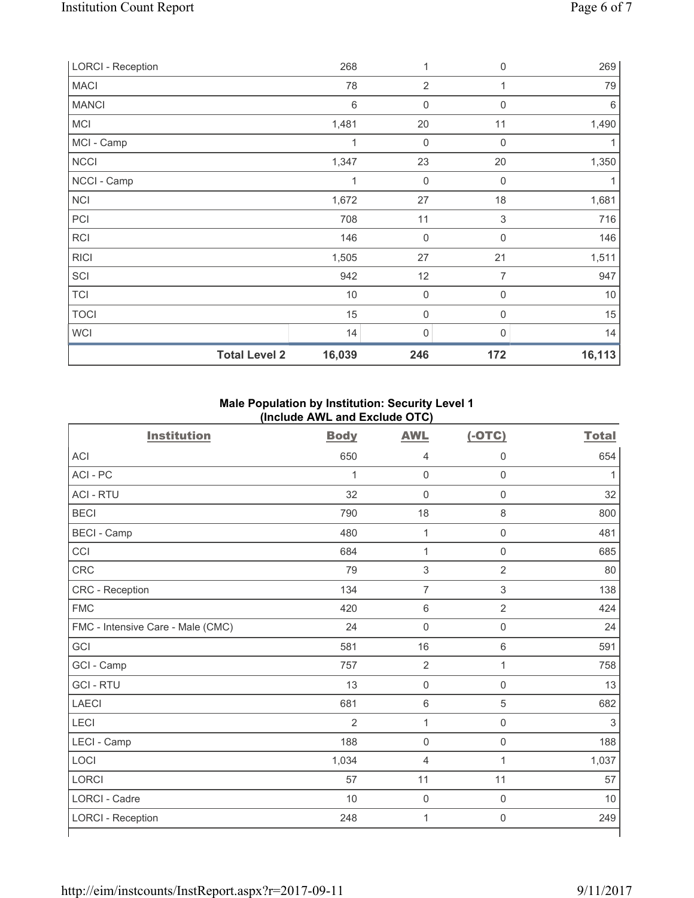| <b>LORCI - Reception</b> | 268    | 1                | 0                | 269    |
|--------------------------|--------|------------------|------------------|--------|
| <b>MACI</b>              | 78     | $\overline{2}$   | 1                | 79     |
| <b>MANCI</b>             | 6      | $\mathbf 0$      | 0                | 6      |
| <b>MCI</b>               | 1,481  | 20               | 11               | 1,490  |
| MCI - Camp               | 1      | 0                | $\boldsymbol{0}$ |        |
| <b>NCCI</b>              | 1,347  | 23               | 20               | 1,350  |
| NCCI - Camp              | 1      | 0                | $\mathbf 0$      |        |
| <b>NCI</b>               | 1,672  | 27               | 18               | 1,681  |
| PCI                      | 708    | 11               | $\mathsf 3$      | 716    |
| RCI                      | 146    | $\boldsymbol{0}$ | 0                | 146    |
| <b>RICI</b>              | 1,505  | 27               | 21               | 1,511  |
| SCI                      | 942    | 12               | 7                | 947    |
| <b>TCI</b>               | $10$   | $\boldsymbol{0}$ | $\boldsymbol{0}$ | $10$   |
| <b>TOCI</b>              | 15     | 0                | 0                | 15     |
| <b>WCI</b>               | 14     | 0                | 0                | 14     |
| <b>Total Level 2</b>     | 16,039 | 246              | 172              | 16,113 |

# **Male Population by Institution: Security Level 1 (Include AWL and Exclude OTC)**

|                                   | ,,,,,,,,,,     | . - ,          |                     |              |
|-----------------------------------|----------------|----------------|---------------------|--------------|
| <b>Institution</b>                | <b>Body</b>    | <b>AWL</b>     | $(-OTC)$            | <b>Total</b> |
| <b>ACI</b>                        | 650            | 4              | 0                   | 654          |
| ACI-PC                            | $\mathbf{1}$   | $\mathsf 0$    | $\mathsf{O}\xspace$ | $\mathbf{1}$ |
| <b>ACI - RTU</b>                  | 32             | $\mathbf 0$    | $\mathbf 0$         | 32           |
| <b>BECI</b>                       | 790            | 18             | $\,8\,$             | 800          |
| <b>BECI</b> - Camp                | 480            | $\mathbf{1}$   | $\mathsf{O}\xspace$ | 481          |
| CCI                               | 684            | $\mathbf 1$    | $\mathsf{O}\xspace$ | 685          |
| CRC                               | 79             | 3              | $\overline{2}$      | 80           |
| CRC - Reception                   | 134            | 7              | $\,$ 3 $\,$         | 138          |
| <b>FMC</b>                        | 420            | 6              | $\overline{2}$      | 424          |
| FMC - Intensive Care - Male (CMC) | 24             | $\mathbf 0$    | $\mathbf 0$         | 24           |
| GCI                               | 581            | 16             | $\,6\,$             | 591          |
| GCI - Camp                        | 757            | $\overline{2}$ | $\mathbf{1}$        | 758          |
| <b>GCI-RTU</b>                    | 13             | $\mathbf 0$    | $\mathsf{O}\xspace$ | 13           |
| <b>LAECI</b>                      | 681            | 6              | 5                   | 682          |
| LECI                              | $\overline{2}$ | $\mathbf{1}$   | $\mathsf{O}\xspace$ | 3            |
| LECI - Camp                       | 188            | $\mathbf 0$    | $\mathsf 0$         | 188          |
| LOCI                              | 1,034          | 4              | $\mathbf{1}$        | 1,037        |
| <b>LORCI</b>                      | 57             | 11             | 11                  | 57           |
| <b>LORCI - Cadre</b>              | 10             | $\mathbf 0$    | $\mathsf{O}\xspace$ | 10           |
| <b>LORCI - Reception</b>          | 248            | $\mathbf 1$    | $\mathbf 0$         | 249          |
|                                   |                |                |                     |              |